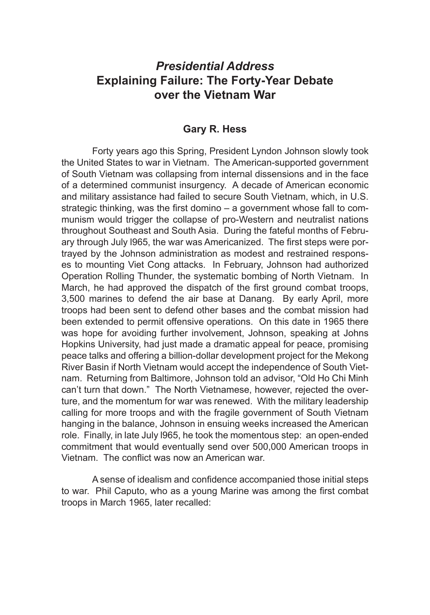## *Presidential Address* **Explaining Failure: The Forty-Year Debate over the Vietnam War**

## **Gary R. Hess**

Forty years ago this Spring, President Lyndon Johnson slowly took the United States to war in Vietnam. The American-supported government of South Vietnam was collapsing from internal dissensions and in the face of a determined communist insurgency. A decade of American economic and military assistance had failed to secure South Vietnam, which, in U.S. strategic thinking, was the first domino – a government whose fall to communism would trigger the collapse of pro-Western and neutralist nations throughout Southeast and South Asia. During the fateful months of February through July l965, the war was Americanized. The first steps were portrayed by the Johnson administration as modest and restrained responses to mounting Viet Cong attacks. In February, Johnson had authorized Operation Rolling Thunder, the systematic bombing of North Vietnam. In March, he had approved the dispatch of the first ground combat troops, 3,500 marines to defend the air base at Danang. By early April, more troops had been sent to defend other bases and the combat mission had been extended to permit offensive operations. On this date in 1965 there was hope for avoiding further involvement, Johnson, speaking at Johns Hopkins University, had just made a dramatic appeal for peace, promising peace talks and offering a billion-dollar development project for the Mekong River Basin if North Vietnam would accept the independence of South Vietnam. Returning from Baltimore, Johnson told an advisor, "Old Ho Chi Minh can't turn that down." The North Vietnamese, however, rejected the overture, and the momentum for war was renewed. With the military leadership calling for more troops and with the fragile government of South Vietnam hanging in the balance, Johnson in ensuing weeks increased the American role. Finally, in late July l965, he took the momentous step: an open-ended commitment that would eventually send over 500,000 American troops in Vietnam. The conflict was now an American war.

A sense of idealism and confidence accompanied those initial steps to war. Phil Caputo, who as a young Marine was among the first combat troops in March 1965, later recalled: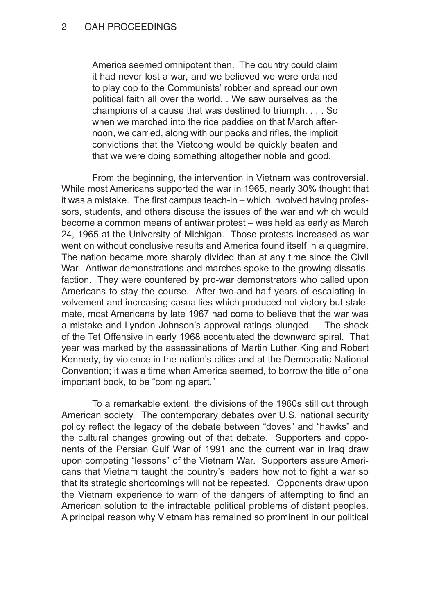America seemed omnipotent then. The country could claim it had never lost a war, and we believed we were ordained to play cop to the Communists' robber and spread our own political faith all over the world. . We saw ourselves as the champions of a cause that was destined to triumph. . . . So when we marched into the rice paddies on that March afternoon, we carried, along with our packs and rifles, the implicit convictions that the Vietcong would be quickly beaten and that we were doing something altogether noble and good.

From the beginning, the intervention in Vietnam was controversial. While most Americans supported the war in 1965, nearly 30% thought that it was a mistake. The first campus teach-in – which involved having professors, students, and others discuss the issues of the war and which would become a common means of antiwar protest – was held as early as March 24, 1965 at the University of Michigan. Those protests increased as war went on without conclusive results and America found itself in a quagmire. The nation became more sharply divided than at any time since the Civil War. Antiwar demonstrations and marches spoke to the growing dissatisfaction. They were countered by pro-war demonstrators who called upon Americans to stay the course. After two-and-half years of escalating involvement and increasing casualties which produced not victory but stalemate, most Americans by late 1967 had come to believe that the war was a mistake and Lyndon Johnson's approval ratings plunged. The shock of the Tet Offensive in early 1968 accentuated the downward spiral. That year was marked by the assassinations of Martin Luther King and Robert Kennedy, by violence in the nation's cities and at the Democratic National Convention; it was a time when America seemed, to borrow the title of one important book, to be "coming apart."

To a remarkable extent, the divisions of the 1960s still cut through American society. The contemporary debates over U.S. national security policy reflect the legacy of the debate between "doves" and "hawks" and the cultural changes growing out of that debate. Supporters and opponents of the Persian Gulf War of 1991 and the current war in Iraq draw upon competing "lessons" of the Vietnam War. Supporters assure Americans that Vietnam taught the country's leaders how not to fight a war so that its strategic shortcomings will not be repeated. Opponents draw upon the Vietnam experience to warn of the dangers of attempting to find an American solution to the intractable political problems of distant peoples. A principal reason why Vietnam has remained so prominent in our political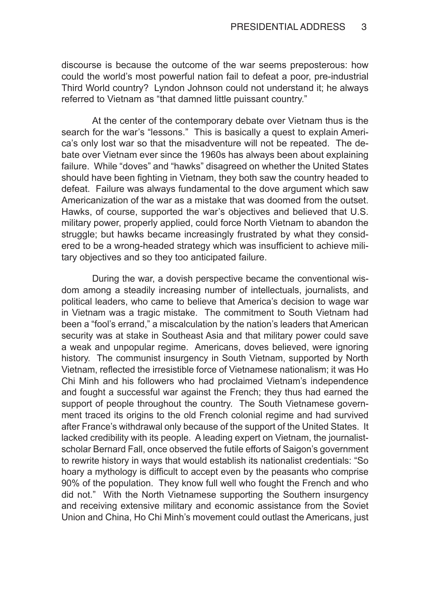discourse is because the outcome of the war seems preposterous: how could the world's most powerful nation fail to defeat a poor, pre-industrial Third World country? Lyndon Johnson could not understand it; he always referred to Vietnam as "that damned little puissant country."

At the center of the contemporary debate over Vietnam thus is the search for the war's "lessons." This is basically a quest to explain America's only lost war so that the misadventure will not be repeated. The debate over Vietnam ever since the 1960s has always been about explaining failure. While "doves" and "hawks" disagreed on whether the United States should have been fighting in Vietnam, they both saw the country headed to defeat. Failure was always fundamental to the dove argument which saw Americanization of the war as a mistake that was doomed from the outset. Hawks, of course, supported the war's objectives and believed that U.S. military power, properly applied, could force North Vietnam to abandon the struggle; but hawks became increasingly frustrated by what they considered to be a wrong-headed strategy which was insufficient to achieve military objectives and so they too anticipated failure.

During the war, a dovish perspective became the conventional wisdom among a steadily increasing number of intellectuals, journalists, and political leaders, who came to believe that America's decision to wage war in Vietnam was a tragic mistake. The commitment to South Vietnam had been a "fool's errand," a miscalculation by the nation's leaders that American security was at stake in Southeast Asia and that military power could save a weak and unpopular regime. Americans, doves believed, were ignoring history. The communist insurgency in South Vietnam, supported by North Vietnam, reflected the irresistible force of Vietnamese nationalism; it was Ho Chi Minh and his followers who had proclaimed Vietnam's independence and fought a successful war against the French; they thus had earned the support of people throughout the country. The South Vietnamese government traced its origins to the old French colonial regime and had survived after France's withdrawal only because of the support of the United States. It lacked credibility with its people. A leading expert on Vietnam, the journalistscholar Bernard Fall, once observed the futile efforts of Saigon's government to rewrite history in ways that would establish its nationalist credentials: "So hoary a mythology is difficult to accept even by the peasants who comprise 90% of the population. They know full well who fought the French and who did not." With the North Vietnamese supporting the Southern insurgency and receiving extensive military and economic assistance from the Soviet Union and China, Ho Chi Minh's movement could outlast the Americans, just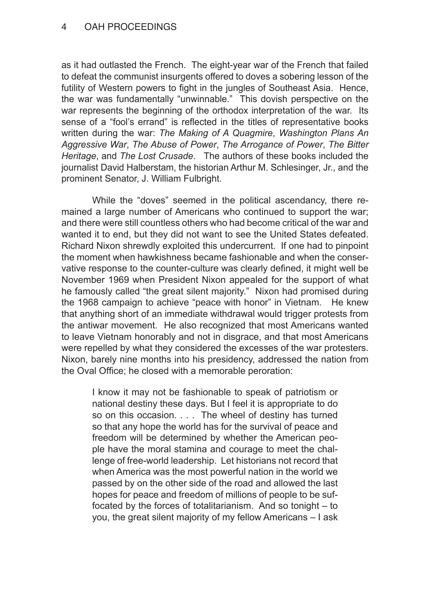## 4 OAH PROCEEDINGS

as it had outlasted the French. The eight-year war of the French that failed to defeat the communist insurgents offered to doves a sobering lesson of the futility of Western powers to fight in the jungles of Southeast Asia. Hence, the war was fundamentally "unwinnable." This dovish perspective on the war represents the beginning of the orthodox interpretation of the war. Its sense of a "fool's errand" is reflected in the titles of representative books written during the war: *The Making of A Quagmire*, *Washington Plans An Aggressive War*, *The Abuse of Power*, *The Arrogance of Power*, *The Bitter Heritage*, and *The Lost Crusade*. The authors of these books included the journalist David Halberstam, the historian Arthur M. Schlesinger, Jr., and the prominent Senator, J. William Fulbright.

While the "doves" seemed in the political ascendancy, there remained a large number of Americans who continued to support the war; and there were still countless others who had become critical of the war and wanted it to end, but they did not want to see the United States defeated. Richard Nixon shrewdly exploited this undercurrent. If one had to pinpoint the moment when hawkishness became fashionable and when the conservative response to the counter-culture was clearly defined, it might well be November 1969 when President Nixon appealed for the support of what he famously called "the great silent majority." Nixon had promised during the 1968 campaign to achieve "peace with honor" in Vietnam. He knew that anything short of an immediate withdrawal would trigger protests from the antiwar movement. He also recognized that most Americans wanted to leave Vietnam honorably and not in disgrace, and that most Americans were repelled by what they considered the excesses of the war protesters. Nixon, barely nine months into his presidency, addressed the nation from the Oval Office; he closed with a memorable peroration:

I know it may not be fashionable to speak of patriotism or national destiny these days. But I feel it is appropriate to do so on this occasion. . . . The wheel of destiny has turned so that any hope the world has for the survival of peace and freedom will be determined by whether the American people have the moral stamina and courage to meet the challenge of free-world leadership. Let historians not record that when America was the most powerful nation in the world we passed by on the other side of the road and allowed the last hopes for peace and freedom of millions of people to be suffocated by the forces of totalitarianism. And so tonight – to you, the great silent majority of my fellow Americans – I ask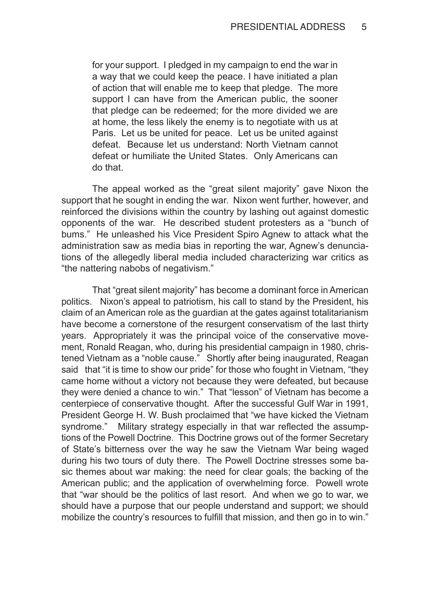for your support. I pledged in my campaign to end the war in a way that we could keep the peace. I have initiated a plan of action that will enable me to keep that pledge. The more support I can have from the American public, the sooner that pledge can be redeemed; for the more divided we are at home, the less likely the enemy is to negotiate with us at Paris. Let us be united for peace. Let us be united against defeat. Because let us understand: North Vietnam cannot defeat or humiliate the United States. Only Americans can do that.

The appeal worked as the "great silent majority" gave Nixon the support that he sought in ending the war. Nixon went further, however, and reinforced the divisions within the country by lashing out against domestic opponents of the war. He described student protesters as a "bunch of bums." He unleashed his Vice President Spiro Agnew to attack what the administration saw as media bias in reporting the war, Agnew's denunciations of the allegedly liberal media included characterizing war critics as "the nattering nabobs of negativism."

That "great silent majority" has become a dominant force in American politics. Nixon's appeal to patriotism, his call to stand by the President, his claim of an American role as the guardian at the gates against totalitarianism have become a cornerstone of the resurgent conservatism of the last thirty years. Appropriately it was the principal voice of the conservative movement, Ronald Reagan, who, during his presidential campaign in 1980, christened Vietnam as a "noble cause." Shortly after being inaugurated, Reagan said that "it is time to show our pride" for those who fought in Vietnam, "they came home without a victory not because they were defeated, but because they were denied a chance to win." That "lesson" of Vietnam has become a centerpiece of conservative thought. After the successful Gulf War in 1991, President George H. W. Bush proclaimed that "we have kicked the Vietnam syndrome." Military strategy especially in that war reflected the assumptions of the Powell Doctrine. This Doctrine grows out of the former Secretary of State's bitterness over the way he saw the Vietnam War being waged during his two tours of duty there. The Powell Doctrine stresses some basic themes about war making: the need for clear goals; the backing of the American public; and the application of overwhelming force. Powell wrote that "war should be the politics of last resort. And when we go to war, we should have a purpose that our people understand and support; we should mobilize the country's resources to fulfill that mission, and then go in to win."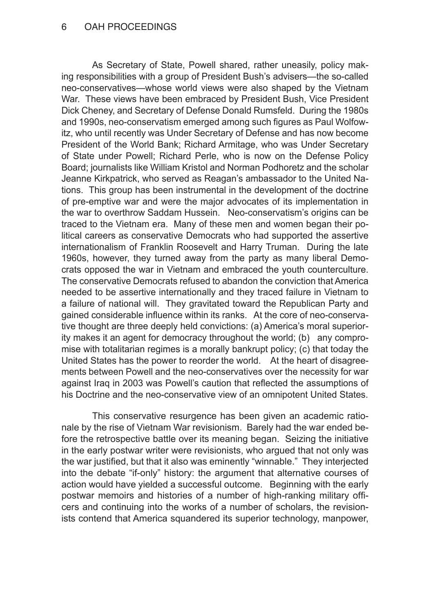As Secretary of State, Powell shared, rather uneasily, policy making responsibilities with a group of President Bush's advisers—the so-called neo-conservatives—whose world views were also shaped by the Vietnam War. These views have been embraced by President Bush, Vice President Dick Cheney, and Secretary of Defense Donald Rumsfeld. During the 1980s and 1990s, neo-conservatism emerged among such figures as Paul Wolfowitz, who until recently was Under Secretary of Defense and has now become President of the World Bank; Richard Armitage, who was Under Secretary of State under Powell; Richard Perle, who is now on the Defense Policy Board; journalists like William Kristol and Norman Podhoretz and the scholar Jeanne Kirkpatrick, who served as Reagan's ambassador to the United Nations. This group has been instrumental in the development of the doctrine of pre-emptive war and were the major advocates of its implementation in the war to overthrow Saddam Hussein. Neo-conservatism's origins can be traced to the Vietnam era. Many of these men and women began their political careers as conservative Democrats who had supported the assertive internationalism of Franklin Roosevelt and Harry Truman. During the late 1960s, however, they turned away from the party as many liberal Democrats opposed the war in Vietnam and embraced the youth counterculture. The conservative Democrats refused to abandon the conviction that America needed to be assertive internationally and they traced failure in Vietnam to a failure of national will. They gravitated toward the Republican Party and gained considerable influence within its ranks. At the core of neo-conservative thought are three deeply held convictions: (a) America's moral superiority makes it an agent for democracy throughout the world; (b) any compromise with totalitarian regimes is a morally bankrupt policy; (c) that today the United States has the power to reorder the world. At the heart of disagreements between Powell and the neo-conservatives over the necessity for war against Iraq in 2003 was Powell's caution that reflected the assumptions of his Doctrine and the neo-conservative view of an omnipotent United States.

This conservative resurgence has been given an academic rationale by the rise of Vietnam War revisionism. Barely had the war ended before the retrospective battle over its meaning began. Seizing the initiative in the early postwar writer were revisionists, who argued that not only was the war justified, but that it also was eminently "winnable." They interjected into the debate "if-only" history: the argument that alternative courses of action would have yielded a successful outcome. Beginning with the early postwar memoirs and histories of a number of high-ranking military officers and continuing into the works of a number of scholars, the revisionists contend that America squandered its superior technology, manpower,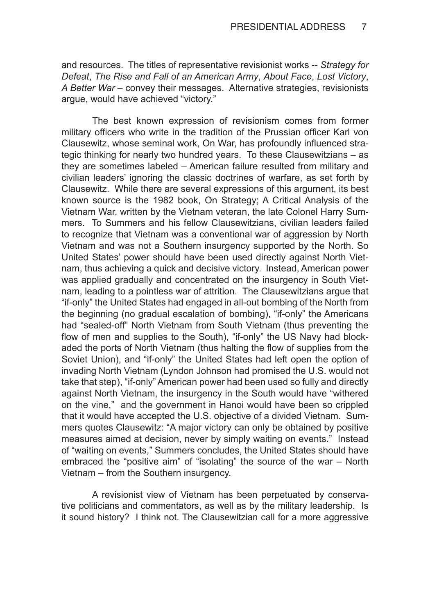and resources. The titles of representative revisionist works -- *Strategy for Defeat*, *The Rise and Fall of an American Army*, *About Face*, *Lost Victory*, *A Better War* – convey their messages. Alternative strategies, revisionists argue, would have achieved "victory."

The best known expression of revisionism comes from former military officers who write in the tradition of the Prussian officer Karl von Clausewitz, whose seminal work, On War, has profoundly influenced strategic thinking for nearly two hundred years. To these Clausewitzians – as they are sometimes labeled – American failure resulted from military and civilian leaders' ignoring the classic doctrines of warfare, as set forth by Clausewitz. While there are several expressions of this argument, its best known source is the 1982 book, On Strategy; A Critical Analysis of the Vietnam War, written by the Vietnam veteran, the late Colonel Harry Summers. To Summers and his fellow Clausewitzians, civilian leaders failed to recognize that Vietnam was a conventional war of aggression by North Vietnam and was not a Southern insurgency supported by the North. So United States' power should have been used directly against North Vietnam, thus achieving a quick and decisive victory. Instead, American power was applied gradually and concentrated on the insurgency in South Vietnam, leading to a pointless war of attrition. The Clausewitzians argue that "if-only" the United States had engaged in all-out bombing of the North from the beginning (no gradual escalation of bombing), "if-only" the Americans had "sealed-off" North Vietnam from South Vietnam (thus preventing the flow of men and supplies to the South), "if-only" the US Navy had blockaded the ports of North Vietnam (thus halting the flow of supplies from the Soviet Union), and "if-only" the United States had left open the option of invading North Vietnam (Lyndon Johnson had promised the U.S. would not take that step), "if-only" American power had been used so fully and directly against North Vietnam, the insurgency in the South would have "withered on the vine," and the government in Hanoi would have been so crippled that it would have accepted the U.S. objective of a divided Vietnam. Summers quotes Clausewitz: "A major victory can only be obtained by positive measures aimed at decision, never by simply waiting on events." Instead of "waiting on events," Summers concludes, the United States should have embraced the "positive aim" of "isolating" the source of the war – North Vietnam – from the Southern insurgency.

A revisionist view of Vietnam has been perpetuated by conservative politicians and commentators, as well as by the military leadership. Is it sound history? I think not. The Clausewitzian call for a more aggressive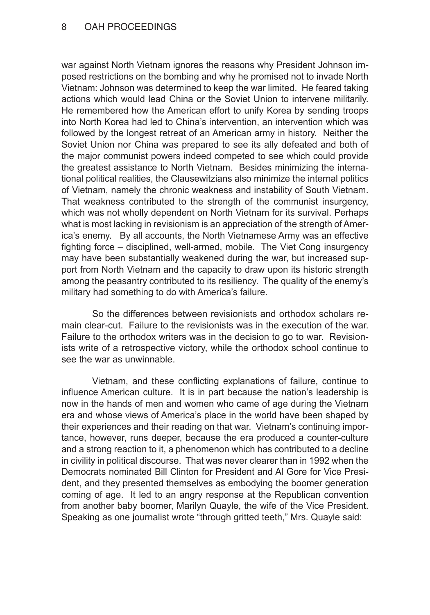## 8 OAH PROCEEDINGS

war against North Vietnam ignores the reasons why President Johnson imposed restrictions on the bombing and why he promised not to invade North Vietnam: Johnson was determined to keep the war limited. He feared taking actions which would lead China or the Soviet Union to intervene militarily. He remembered how the American effort to unify Korea by sending troops into North Korea had led to China's intervention, an intervention which was followed by the longest retreat of an American army in history. Neither the Soviet Union nor China was prepared to see its ally defeated and both of the major communist powers indeed competed to see which could provide the greatest assistance to North Vietnam. Besides minimizing the international political realities, the Clausewitzians also minimize the internal politics of Vietnam, namely the chronic weakness and instability of South Vietnam. That weakness contributed to the strength of the communist insurgency, which was not wholly dependent on North Vietnam for its survival. Perhaps what is most lacking in revisionism is an appreciation of the strength of America's enemy. By all accounts, the North Vietnamese Army was an effective fighting force – disciplined, well-armed, mobile. The Viet Cong insurgency may have been substantially weakened during the war, but increased support from North Vietnam and the capacity to draw upon its historic strength among the peasantry contributed to its resiliency. The quality of the enemy's military had something to do with America's failure.

So the differences between revisionists and orthodox scholars remain clear-cut. Failure to the revisionists was in the execution of the war. Failure to the orthodox writers was in the decision to go to war. Revisionists write of a retrospective victory, while the orthodox school continue to see the war as unwinnable.

Vietnam, and these conflicting explanations of failure, continue to influence American culture. It is in part because the nation's leadership is now in the hands of men and women who came of age during the Vietnam era and whose views of America's place in the world have been shaped by their experiences and their reading on that war. Vietnam's continuing importance, however, runs deeper, because the era produced a counter-culture and a strong reaction to it, a phenomenon which has contributed to a decline in civility in political discourse. That was never clearer than in 1992 when the Democrats nominated Bill Clinton for President and Al Gore for Vice President, and they presented themselves as embodying the boomer generation coming of age. It led to an angry response at the Republican convention from another baby boomer, Marilyn Quayle, the wife of the Vice President. Speaking as one journalist wrote "through gritted teeth," Mrs. Quayle said: